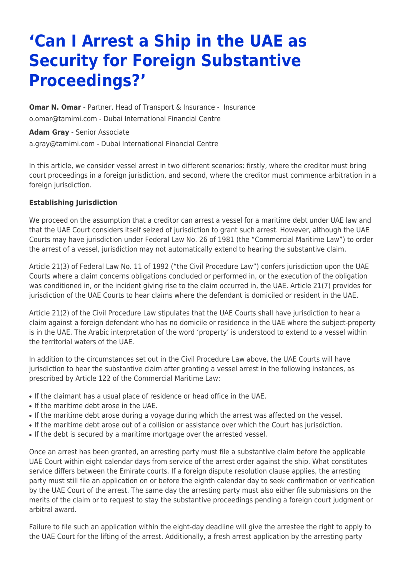# **'Can I Arrest a Ship in the UAE as Security for Foreign Substantive Proceedings?'**

**[Omar N. Omar](https://www.tamimi.com/find-a-lawyer/omar-omar/)** - Partner, Head of Transport & Insurance - [Insurance](https://www.tamimi.com/client-services/practices/insurance/) [o.omar@tamimi.com](mailto:o.omar@tamimi.com) - [Dubai International Financial Centre](https://www.tamimi.com/locations/uae/)

**[Adam Gray](https://www.tamimi.com/find-a-lawyer/adam-gray/)** - Senior Associate [a.gray@tamimi.com](mailto:a.gray@tamimi.com) - [Dubai International Financial Centre](https://www.tamimi.com/locations/uae/)

In this article, we consider vessel arrest in two different scenarios: firstly, where the creditor must bring court proceedings in a foreign jurisdiction, and second, where the creditor must commence arbitration in a foreign jurisdiction.

#### **Establishing Jurisdiction**

We proceed on the assumption that a creditor can arrest a vessel for a maritime debt under UAE law and that the UAE Court considers itself seized of jurisdiction to grant such arrest. However, although the UAE Courts may have jurisdiction under Federal Law No. 26 of 1981 (the "Commercial Maritime Law") to order the arrest of a vessel, jurisdiction may not automatically extend to hearing the substantive claim.

Article 21(3) of Federal Law No. 11 of 1992 ("the Civil Procedure Law") confers jurisdiction upon the UAE Courts where a claim concerns obligations concluded or performed in, or the execution of the obligation was conditioned in, or the incident giving rise to the claim occurred in, the UAE. Article 21(7) provides for jurisdiction of the UAE Courts to hear claims where the defendant is domiciled or resident in the UAE.

Article 21(2) of the Civil Procedure Law stipulates that the UAE Courts shall have jurisdiction to hear a claim against a foreign defendant who has no domicile or residence in the UAE where the subject-property is in the UAE. The Arabic interpretation of the word 'property' is understood to extend to a vessel within the territorial waters of the UAE.

In addition to the circumstances set out in the Civil Procedure Law above, the UAE Courts will have jurisdiction to hear the substantive claim after granting a vessel arrest in the following instances, as prescribed by Article 122 of the Commercial Maritime Law:

- If the claimant has a usual place of residence or head office in the UAE.
- If the maritime debt arose in the UAE.
- If the maritime debt arose during a voyage during which the arrest was affected on the vessel.
- If the maritime debt arose out of a collision or assistance over which the Court has jurisdiction.
- If the debt is secured by a maritime mortgage over the arrested vessel.

Once an arrest has been granted, an arresting party must file a substantive claim before the applicable UAE Court within eight calendar days from service of the arrest order against the ship. What constitutes service differs between the Emirate courts. If a foreign dispute resolution clause applies, the arresting party must still file an application on or before the eighth calendar day to seek confirmation or verification by the UAE Court of the arrest. The same day the arresting party must also either file submissions on the merits of the claim or to request to stay the substantive proceedings pending a foreign court judgment or arbitral award.

Failure to file such an application within the eight-day deadline will give the arrestee the right to apply to the UAE Court for the lifting of the arrest. Additionally, a fresh arrest application by the arresting party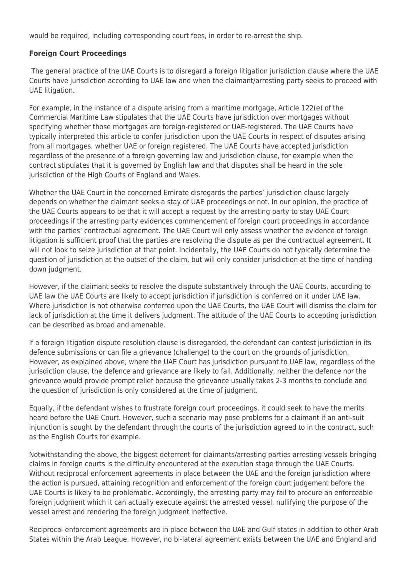would be required, including corresponding court fees, in order to re-arrest the ship.

### **Foreign Court Proceedings**

The general practice of the UAE Courts is to disregard a foreign litigation jurisdiction clause where the UAE Courts have jurisdiction according to UAE law and when the claimant/arresting party seeks to proceed with UAE litigation.

For example, in the instance of a dispute arising from a maritime mortgage, Article 122(e) of the Commercial Maritime Law stipulates that the UAE Courts have jurisdiction over mortgages without specifying whether those mortgages are foreign-registered or UAE-registered. The UAE Courts have typically interpreted this article to confer jurisdiction upon the UAE Courts in respect of disputes arising from all mortgages, whether UAE or foreign registered. The UAE Courts have accepted jurisdiction regardless of the presence of a foreign governing law and jurisdiction clause, for example when the contract stipulates that it is governed by English law and that disputes shall be heard in the sole jurisdiction of the High Courts of England and Wales.

Whether the UAE Court in the concerned Emirate disregards the parties' jurisdiction clause largely depends on whether the claimant seeks a stay of UAE proceedings or not. In our opinion, the practice of the UAE Courts appears to be that it will accept a request by the arresting party to stay UAE Court proceedings if the arresting party evidences commencement of foreign court proceedings in accordance with the parties' contractual agreement. The UAE Court will only assess whether the evidence of foreign litigation is sufficient proof that the parties are resolving the dispute as per the contractual agreement. It will not look to seize jurisdiction at that point. Incidentally, the UAE Courts do not typically determine the question of jurisdiction at the outset of the claim, but will only consider jurisdiction at the time of handing down judgment.

However, if the claimant seeks to resolve the dispute substantively through the UAE Courts, according to UAE law the UAE Courts are likely to accept jurisdiction if jurisdiction is conferred on it under UAE law. Where jurisdiction is not otherwise conferred upon the UAE Courts, the UAE Court will dismiss the claim for lack of jurisdiction at the time it delivers judgment. The attitude of the UAE Courts to accepting jurisdiction can be described as broad and amenable.

If a foreign litigation dispute resolution clause is disregarded, the defendant can contest jurisdiction in its defence submissions or can file a grievance (challenge) to the court on the grounds of jurisdiction. However, as explained above, where the UAE Court has jurisdiction pursuant to UAE law, regardless of the jurisdiction clause, the defence and grievance are likely to fail. Additionally, neither the defence nor the grievance would provide prompt relief because the grievance usually takes 2-3 months to conclude and the question of jurisdiction is only considered at the time of judgment.

Equally, if the defendant wishes to frustrate foreign court proceedings, it could seek to have the merits heard before the UAE Court. However, such a scenario may pose problems for a claimant if an anti-suit injunction is sought by the defendant through the courts of the jurisdiction agreed to in the contract, such as the English Courts for example.

Notwithstanding the above, the biggest deterrent for claimants/arresting parties arresting vessels bringing claims in foreign courts is the difficulty encountered at the execution stage through the UAE Courts. Without reciprocal enforcement agreements in place between the UAE and the foreign jurisdiction where the action is pursued, attaining recognition and enforcement of the foreign court judgement before the UAE Courts is likely to be problematic. Accordingly, the arresting party may fail to procure an enforceable foreign judgment which it can actually execute against the arrested vessel, nullifying the purpose of the vessel arrest and rendering the foreign judgment ineffective.

Reciprocal enforcement agreements are in place between the UAE and Gulf states in addition to other Arab States within the Arab League. However, no bi-lateral agreement exists between the UAE and England and